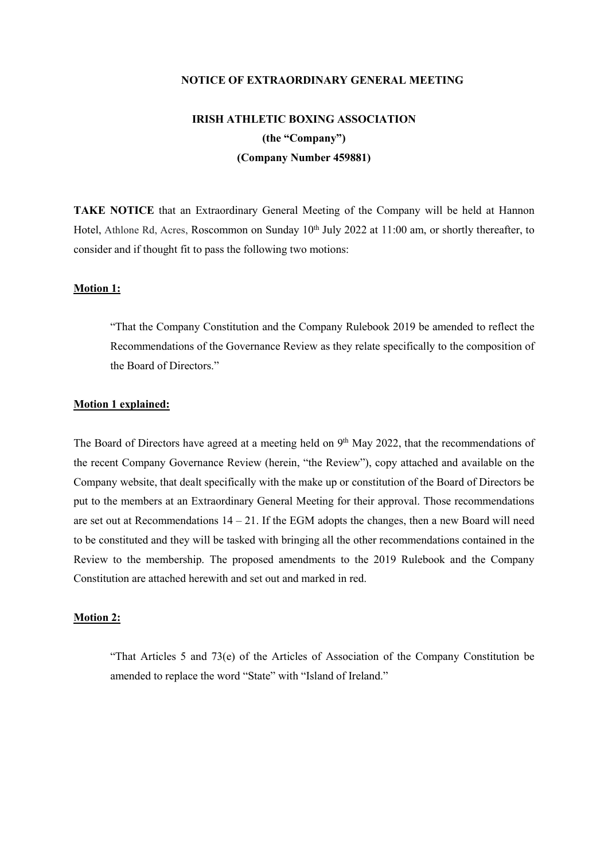#### **NOTICE OF EXTRAORDINARY GENERAL MEETING**

# **IRISH ATHLETIC BOXING ASSOCIATION (the "Company") (Company Number 459881)**

**TAKE NOTICE** that an Extraordinary General Meeting of the Company will be held at Hannon Hotel, Athlone Rd, Acres, Roscommon on Sunday 10<sup>th</sup> July 2022 at 11:00 am, or shortly thereafter, to consider and if thought fit to pass the following two motions:

## **Motion 1:**

"That the Company Constitution and the Company Rulebook 2019 be amended to reflect the Recommendations of the Governance Review as they relate specifically to the composition of the Board of Directors"

#### **Motion 1 explained:**

The Board of Directors have agreed at a meeting held on 9<sup>th</sup> May 2022, that the recommendations of the recent Company Governance Review (herein, "the Review"), copy attached and available on the Company website, that dealt specifically with the make up or constitution of the Board of Directors be put to the members at an Extraordinary General Meeting for their approval. Those recommendations are set out at Recommendations  $14 - 21$ . If the EGM adopts the changes, then a new Board will need to be constituted and they will be tasked with bringing all the other recommendations contained in the Review to the membership. The proposed amendments to the 2019 Rulebook and the Company Constitution are attached herewith and set out and marked in red.

### **Motion 2:**

"That Articles 5 and 73(e) of the Articles of Association of the Company Constitution be amended to replace the word "State" with "Island of Ireland."